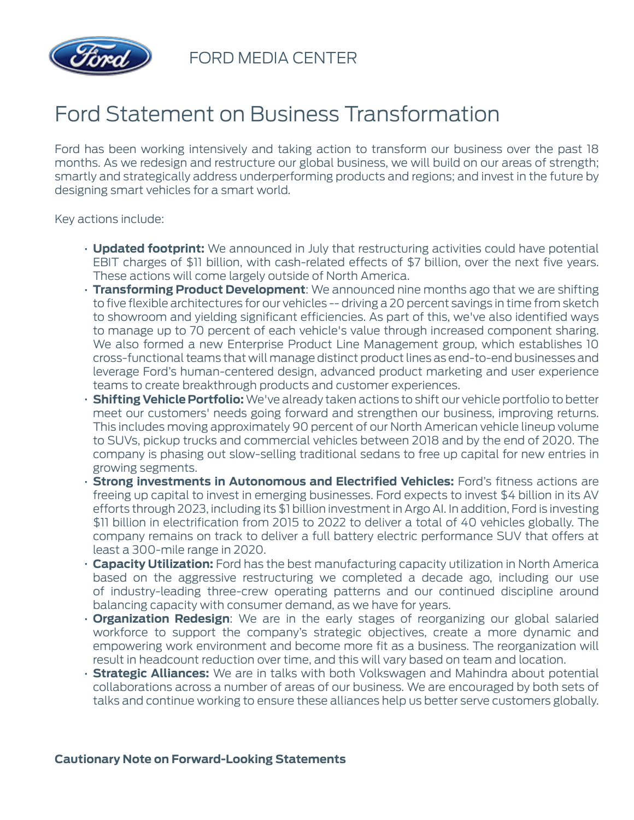

FORD MEDIA CENTER

## Ford Statement on Business Transformation

Ford has been working intensively and taking action to transform our business over the past 18 months. As we redesign and restructure our global business, we will build on our areas of strength; smartly and strategically address underperforming products and regions; and invest in the future by designing smart vehicles for a smart world.

Key actions include:

- **Updated footprint:** We announced in July that restructuring activities could have potential EBIT charges of \$11 billion, with cash-related effects of \$7 billion, over the next five years. These actions will come largely outside of North America.
- **Transforming Product Development**: We announced nine months ago that we are shifting to five flexible architectures for our vehicles -- driving a 20 percent savings in time from sketch to showroom and yielding significant efficiencies. As part of this, we've also identified ways to manage up to 70 percent of each vehicle's value through increased component sharing. We also formed a new Enterprise Product Line Management group, which establishes 10 cross-functional teams that will manage distinct product lines as end-to-end businesses and leverage Ford's human-centered design, advanced product marketing and user experience teams to create breakthrough products and customer experiences.
- **Shifting Vehicle Portfolio:** We've already taken actions to shift our vehicle portfolio to better meet our customers' needs going forward and strengthen our business, improving returns. This includes moving approximately 90 percent of our North American vehicle lineup volume to SUVs, pickup trucks and commercial vehicles between 2018 and by the end of 2020. The company is phasing out slow-selling traditional sedans to free up capital for new entries in growing segments.
- **Strong investments in Autonomous and Electrified Vehicles:** Ford's fitness actions are freeing up capital to invest in emerging businesses. Ford expects to invest \$4 billion in its AV efforts through 2023, including its \$1 billion investment in Argo AI. In addition, Ford is investing \$11 billion in electrification from 2015 to 2022 to deliver a total of 40 vehicles globally. The company remains on track to deliver a full battery electric performance SUV that offers at least a 300-mile range in 2020.
- **Capacity Utilization:** Ford has the best manufacturing capacity utilization in North America based on the aggressive restructuring we completed a decade ago, including our use of industry-leading three-crew operating patterns and our continued discipline around balancing capacity with consumer demand, as we have for years.
- **Organization Redesign**: We are in the early stages of reorganizing our global salaried workforce to support the company's strategic objectives, create a more dynamic and empowering work environment and become more fit as a business. The reorganization will result in headcount reduction over time, and this will vary based on team and location.
- **Strategic Alliances:** We are in talks with both Volkswagen and Mahindra about potential collaborations across a number of areas of our business. We are encouraged by both sets of talks and continue working to ensure these alliances help us better serve customers globally.